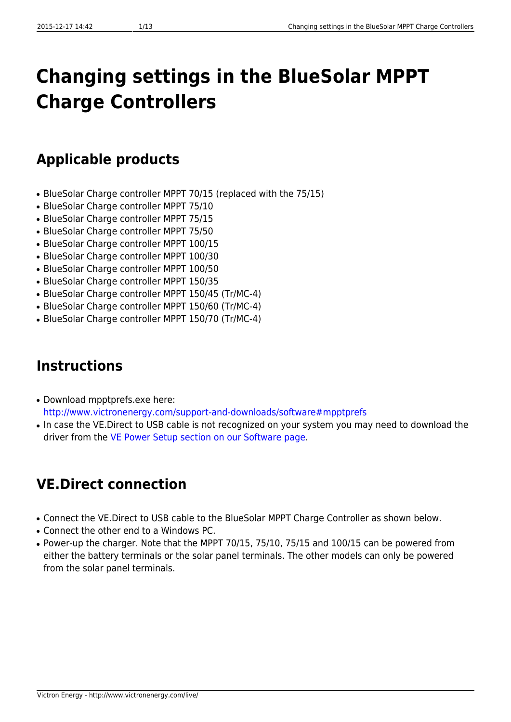# **Changing settings in the BlueSolar MPPT Charge Controllers**

## **Applicable products**

- BlueSolar Charge controller MPPT 70/15 (replaced with the 75/15)
- BlueSolar Charge controller MPPT 75/10
- BlueSolar Charge controller MPPT 75/15
- BlueSolar Charge controller MPPT 75/50
- BlueSolar Charge controller MPPT 100/15
- BlueSolar Charge controller MPPT 100/30
- BlueSolar Charge controller MPPT 100/50
- BlueSolar Charge controller MPPT 150/35
- BlueSolar Charge controller MPPT 150/45 (Tr/MC-4)
- BlueSolar Charge controller MPPT 150/60 (Tr/MC-4)
- BlueSolar Charge controller MPPT 150/70 (Tr/MC-4)

## **Instructions**

- Download mpptprefs.exe here: <http://www.victronenergy.com/support-and-downloads/software#mpptprefs>
- In case the VE.Direct to USB cable is not recognized on your system you may need to download the driver from the [VE Power Setup section on our Software page.](http://www.victronenergy.com/support-and-downloads/software#ve-power-setup)

## **VE.Direct connection**

- Connect the VE.Direct to USB cable to the BlueSolar MPPT Charge Controller as shown below.
- Connect the other end to a Windows PC.
- Power-up the charger. Note that the MPPT 70/15, 75/10, 75/15 and 100/15 can be powered from either the battery terminals or the solar panel terminals. The other models can only be powered from the solar panel terminals.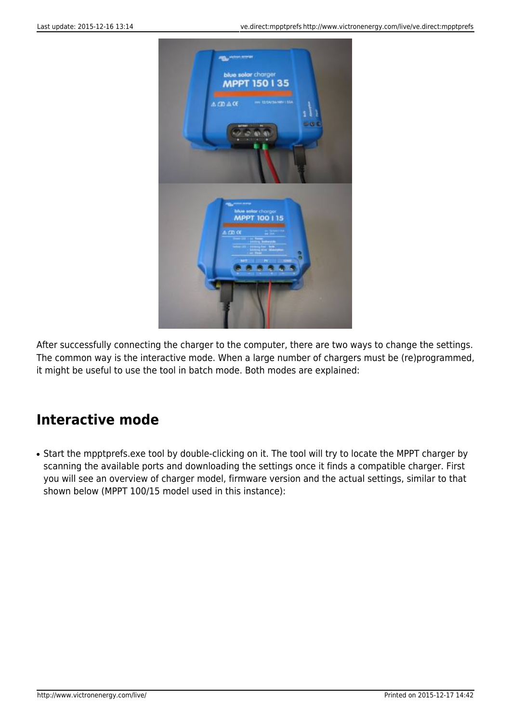

After successfully connecting the charger to the computer, there are two ways to change the settings. The common way is the interactive mode. When a large number of chargers must be (re)programmed, it might be useful to use the tool in batch mode. Both modes are explained:

### **Interactive mode**

• Start the mpptprefs.exe tool by double-clicking on it. The tool will try to locate the MPPT charger by scanning the available ports and downloading the settings once it finds a compatible charger. First you will see an overview of charger model, firmware version and the actual settings, similar to that shown below (MPPT 100/15 model used in this instance):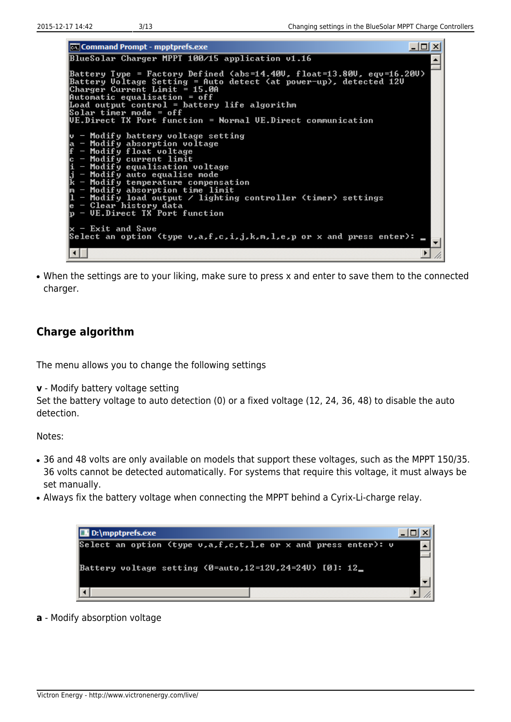cal Command Prompt - mpptprefs.exe  $\Box$   $\Box$   $\times$ BlueSolar Charger MPPT 100/15 application v1.16 ▲ Battery Type = Factory Defined <abs=14.40U, float=13.80U, equ=16.20U)<br>Battery Uoltage Setting = Auto detect <at power-up>, detected 12U<br>Charger Current Limit = 15.0A Automatic equalisation = off Load output control =<br>Solar timer mode = off battery life algorithm UE.Direct TX Port function = Normal UE.Direct communication Modify battery voltage setting<br>Modify absorption voltage<br>Modify float voltage<br>Modify current limit<br>Modify equalisation voltage<br>Modify auto equalise mode nodify temperature compensation<br>Modify absorption time limit<br>Modify absorption time limit<br>Modify load output / lighting controller (timer) settings<br>Clear history data<br>UE.Direct TX Port function Im П Exit and Save Select an option (type v,a,f,c,i,j,k,m,l,e,p or x and press enter):  $\left| \cdot \right|$  $\blacktriangleright$ Ï.

• When the settings are to your liking, make sure to press x and enter to save them to the connected charger.

#### **Charge algorithm**

The menu allows you to change the following settings

**v** - Modify battery voltage setting

Set the battery voltage to auto detection (0) or a fixed voltage (12, 24, 36, 48) to disable the auto detection.

Notes:

- 36 and 48 volts are only available on models that support these voltages, such as the MPPT 150/35. 36 volts cannot be detected automatically. For systems that require this voltage, it must always be set manually.
- Always fix the battery voltage when connecting the MPPT behind a Cyrix-Li-charge relay.

| <b>D:</b> D: \mpptprefs.exe                                   |  |  |
|---------------------------------------------------------------|--|--|
| Select an option (type v,a,f,c,t,l,e or x and press enter): v |  |  |
| Eattery voltage setting (0=auto,12=12U,24=24U) [0]: 12_       |  |  |
|                                                               |  |  |

**a** - Modify absorption voltage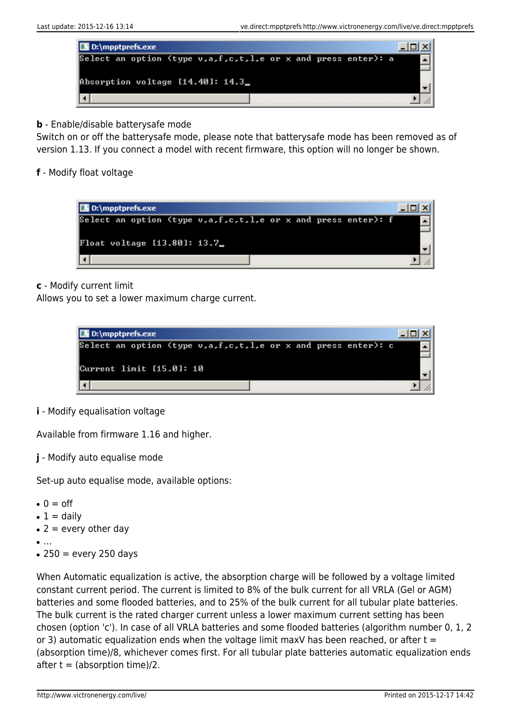

**b** - Enable/disable batterysafe mode

Switch on or off the batterysafe mode, please note that batterysafe mode has been removed as of version 1.13. If you connect a model with recent firmware, this option will no longer be shown.

**f** - Modify float voltage



**c** - Modify current limit

Allows you to set a lower maximum charge current.



#### **i** - Modify equalisation voltage

Available from firmware 1.16 and higher.

**j** - Modify auto equalise mode

Set-up auto equalise mode, available options:

- $\bullet$  0 = off
- $\bullet$  1 = daily
- $\bullet$  2 = every other day
- …
- $\cdot$  250 = every 250 days

When Automatic equalization is active, the absorption charge will be followed by a voltage limited constant current period. The current is limited to 8% of the bulk current for all VRLA (Gel or AGM) batteries and some flooded batteries, and to 25% of the bulk current for all tubular plate batteries. The bulk current is the rated charger current unless a lower maximum current setting has been chosen (option 'c'). In case of all VRLA batteries and some flooded batteries (algorithm number 0, 1, 2 or 3) automatic equalization ends when the voltage limit maxV has been reached, or after  $t =$ (absorption time)/8, whichever comes first. For all tubular plate batteries automatic equalization ends after  $t =$  (absorption time)/2.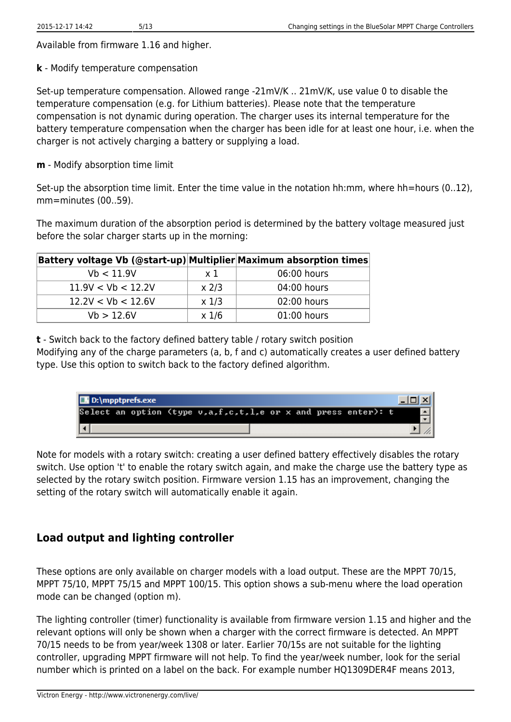Available from firmware 1.16 and higher.

**k** - Modify temperature compensation

Set-up temperature compensation. Allowed range -21mV/K .. 21mV/K, use value 0 to disable the temperature compensation (e.g. for Lithium batteries). Please note that the temperature compensation is not dynamic during operation. The charger uses its internal temperature for the battery temperature compensation when the charger has been idle for at least one hour, i.e. when the charger is not actively charging a battery or supplying a load.

**m** - Modify absorption time limit

Set-up the absorption time limit. Enter the time value in the notation hh:mm, where hh=hours (0..12), mm=minutes (00..59).

The maximum duration of the absorption period is determined by the battery voltage measured just before the solar charger starts up in the morning:

| Battery voltage Vb (@start-up) Multiplier Maximum absorption times |                |             |
|--------------------------------------------------------------------|----------------|-------------|
| Vb < 11.9V                                                         | $\times$ 1     | 06:00 hours |
| 11.9V < Vb < 12.2V                                                 | $x$ 2/3        | 04:00 hours |
| 12.2V < Vb < 12.6V                                                 | $x$ 1/3        | 02:00 hours |
| Vb > 12.6V                                                         | $x\frac{1}{6}$ | 01:00 hours |

**t** - Switch back to the factory defined battery table / rotary switch position

Modifying any of the charge parameters (a, b, f and c) automatically creates a user defined battery type. Use this option to switch back to the factory defined algorithm.

| D:\mpptprefs.exe                                                      |  |
|-----------------------------------------------------------------------|--|
| Select an option (type $v, a, f, c, t, l, e$ or x and press enter): t |  |
|                                                                       |  |

Note for models with a rotary switch: creating a user defined battery effectively disables the rotary switch. Use option 't' to enable the rotary switch again, and make the charge use the battery type as selected by the rotary switch position. Firmware version 1.15 has an improvement, changing the setting of the rotary switch will automatically enable it again.

### **Load output and lighting controller**

These options are only available on charger models with a load output. These are the MPPT 70/15, MPPT 75/10, MPPT 75/15 and MPPT 100/15. This option shows a sub-menu where the load operation mode can be changed (option m).

The lighting controller (timer) functionality is available from firmware version 1.15 and higher and the relevant options will only be shown when a charger with the correct firmware is detected. An MPPT 70/15 needs to be from year/week 1308 or later. Earlier 70/15s are not suitable for the lighting controller, upgrading MPPT firmware will not help. To find the year/week number, look for the serial number which is printed on a label on the back. For example number HQ1309DER4F means 2013,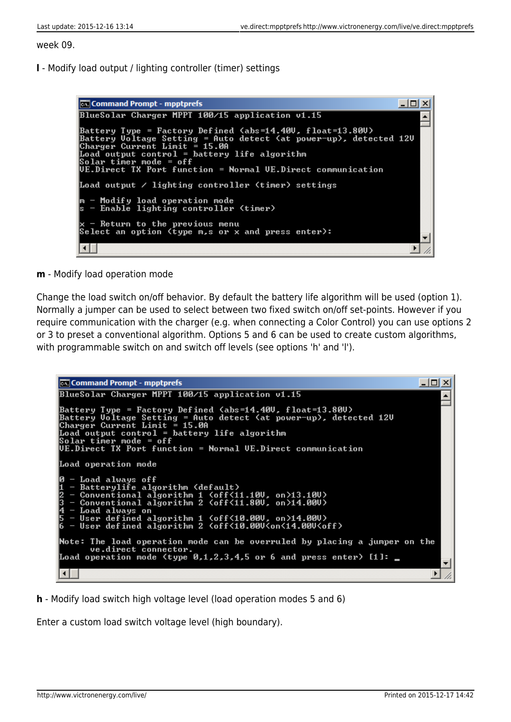week 09.

**l** - Modify load output / lighting controller (timer) settings

```
Command Prompt - mpptprefs
                                                                                                       -\Box\timesBlueSolar Charger MPPT 100/15 application v1.15
                                                                                                               Ă
Battery Type = Factory Defined <abs=14.40V, float=13.80V)<br>Battery Voltage Setting = Auto detect <at power-up>, detected 12V<br>Charger Current Limit = 15.0A<br>Load output control = battery life algorithm<br>Splar timer mode = off<br>
UE.Direct TX Port function = Normal UE.Direct communication
Load output \angle lighting controller (timer) settings
m - Modify load operation mode<br>s - Enable lighting controller (timer)
   - Return to the previous menu
Select an option (type m,s or x and press enter):
 \blacksquare\blacktriangleright11.
```
**m** - Modify load operation mode

Change the load switch on/off behavior. By default the battery life algorithm will be used (option 1). Normally a jumper can be used to select between two fixed switch on/off set-points. However if you require communication with the charger (e.g. when connecting a Color Control) you can use options 2 or 3 to preset a conventional algorithm. Options 5 and 6 can be used to create custom algorithms, with programmable switch on and switch off levels (see options 'h' and 'l').

```
Ical Command Prompt - mpptprefs
                                                                                                                             -\Box \times\BoxBlueSolar Charger MPPT 100/15 application v1.15
                                                                                                                                      \blacktriangleBattery Type = Factory Defined <abs=14.40U, float=13.80U)<br>Battery Uoltage Setting = Auto detect <at power-up), detected 12U<br>Charger Current Limit = 15.000
Load output control = battery life algorithm<br>Solar timer mode = off
UE.Direct TX Port function = Normal UE.Direct communication
Load operation mode
lø
   - Load always off
   - Boau aiways orr<br>- Batterylife algorithm (default)<br>- Conventional algorithm 1 (off<11.10U, on>13.10U)<br>- Conventional algorithm 2 (off<11.80U, on>14.00U)
Ë
      Conventional aigurithm 2 \uff\il.600, 0N714.0007<br>Load always on<br>User defined algorithm 1 \off\10.00U, on>14.00U><br>User defined algorithm 2 \off\10.00U\on\14.00U\off>
Note: The load operation mode can be overruled by placing a jumper on the
           ve.direct connector.
Load operation mode (type 0,1,2,3,4,5 or 6 and press enter) [1]: \blacksquare\left| \cdot \right|\blacktrianglerightÏ.
```
**h** - Modify load switch high voltage level (load operation modes 5 and 6)

Enter a custom load switch voltage level (high boundary).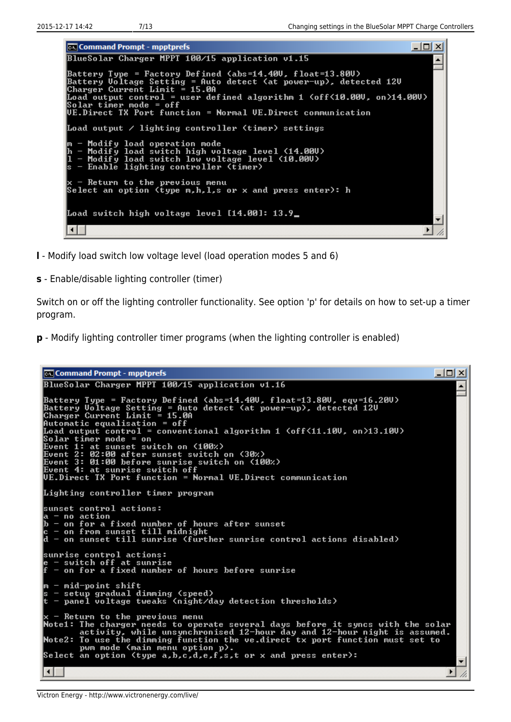$\Box$ o $\mathbf{X}$ **Ex Command Prompt - mpptprefs** BlueSolar Charger MPPT 100/15 application v1.15  $\blacktriangle$ Battery Type = Factory Defined <abs=14.40U, float=13.80U)<br>Battery Uoltage Setting = Auto detect <at power-up>, detected 12U<br>Charger Current Limit = 15.0A Load output control = user defined algorithm 1 <off<10.00U, on>14.00U)<br>Solar timer mode = off<br>UE.Direct TX Port function = Normal UE.Direct communication Load output  $\angle$  lighting controller (timer) settings - Modify load operation mode<br>- Modify load switch high voltage level (14.00U)<br>- Modify load switch low voltage level (10.00U)<br>- Enable lighting controller (timer) h П k x - Return to the previous menu<br>Select an option (type m,h,l,s or x and press enter): h Load switch high voltage level [14.00]: 13.9\_  $\blacksquare$  $\blacktriangleright$ Ii.

- **l** Modify load switch low voltage level (load operation modes 5 and 6)
- **s** Enable/disable lighting controller (timer)

Switch on or off the lighting controller functionality. See option 'p' for details on how to set-up a timer program.

**p** - Modify lighting controller timer programs (when the lighting controller is enabled)

```
Command Prompt - mpptprefs
                                                                                                                                                                          -|o|\timesBlueSolar Charger MPPT 100/15 application v1.16
                                                                                                                                                                                     \blacktriangleBattery Type = Factory Defined <abs=14.400, float=13.800, equ=16.200)<br>Battery Uoltage Setting = Auto detect <at power-up>, detected 120<br>Charger Current Limit = 15.0A<br>Automatic equalisation = off
Load output control = conventional algorithm 1 \left( off\left\{11.100\right, on\left\{13.100\right\}Load output control = conventional algorithm 1 (off<11.10V,<br>Solar timer mode = on<br>Event 1: at sunset switch on (100%)<br>Event 2: 02:00 after sunset switch on (30%)<br>Event 3: 01:00 before sunrise switch on (100%)<br>Event 4: at s
Lighting controller timer program
sunset control actions:
   unset contro<br>— no action<br>— on for a
|а<br>|
   - no action<br>- on for a fixed number of hours after sunset<br>- on from sunset till midnight<br>- on sunset till sunrise (further sunrise control actions disabled)
lc
h
sunrise control actions:<br>e – switch off at sunrise<br>f – on for a fixed number of hours before sunrise
   - mid-point shift
lm
    - setup gradual dimming (speed)<br>- panel voltage tweaks (night/day detection thresholds)
x - Return to the previous menu<br>Note1: The charger needs to operate several days before it syncs with the solar<br>activity, while unsynchronised 12-hour day and 12-hour night is assumed.<br>Note2: To use the dimming function th
                                                                                                                                                                                     \blacktriangledown\left| \cdot \right|▸
                                                                                                                                                                                     11
```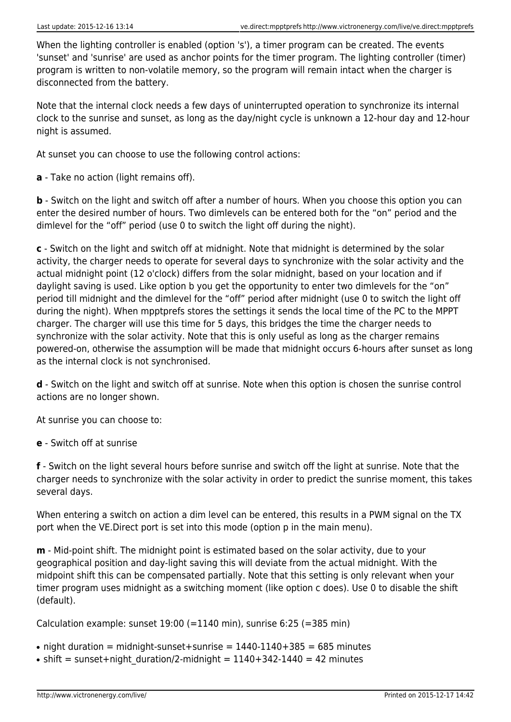When the lighting controller is enabled (option 's'), a timer program can be created. The events 'sunset' and 'sunrise' are used as anchor points for the timer program. The lighting controller (timer) program is written to non-volatile memory, so the program will remain intact when the charger is disconnected from the battery.

Note that the internal clock needs a few days of uninterrupted operation to synchronize its internal clock to the sunrise and sunset, as long as the day/night cycle is unknown a 12-hour day and 12-hour night is assumed.

At sunset you can choose to use the following control actions:

**a** - Take no action (light remains off).

**b** - Switch on the light and switch off after a number of hours. When you choose this option you can enter the desired number of hours. Two dimlevels can be entered both for the "on" period and the dimlevel for the "off" period (use 0 to switch the light off during the night).

**c** - Switch on the light and switch off at midnight. Note that midnight is determined by the solar activity, the charger needs to operate for several days to synchronize with the solar activity and the actual midnight point (12 o'clock) differs from the solar midnight, based on your location and if daylight saving is used. Like option b you get the opportunity to enter two dimlevels for the "on" period till midnight and the dimlevel for the "off" period after midnight (use 0 to switch the light off during the night). When mpptprefs stores the settings it sends the local time of the PC to the MPPT charger. The charger will use this time for 5 days, this bridges the time the charger needs to synchronize with the solar activity. Note that this is only useful as long as the charger remains powered-on, otherwise the assumption will be made that midnight occurs 6-hours after sunset as long as the internal clock is not synchronised.

**d** - Switch on the light and switch off at sunrise. Note when this option is chosen the sunrise control actions are no longer shown.

At sunrise you can choose to:

**e** - Switch off at sunrise

**f** - Switch on the light several hours before sunrise and switch off the light at sunrise. Note that the charger needs to synchronize with the solar activity in order to predict the sunrise moment, this takes several days.

When entering a switch on action a dim level can be entered, this results in a PWM signal on the TX port when the VE.Direct port is set into this mode (option p in the main menu).

**m** - Mid-point shift. The midnight point is estimated based on the solar activity, due to your geographical position and day-light saving this will deviate from the actual midnight. With the midpoint shift this can be compensated partially. Note that this setting is only relevant when your timer program uses midnight as a switching moment (like option c does). Use 0 to disable the shift (default).

Calculation example: sunset  $19:00$  (=1140 min), sunrise 6:25 (=385 min)

• night duration = midnight-sunset+sunrise =  $1440-1140+385 = 685$  minutes

• shift = sunset+night duration/2-midnight =  $1140+342-1440 = 42$  minutes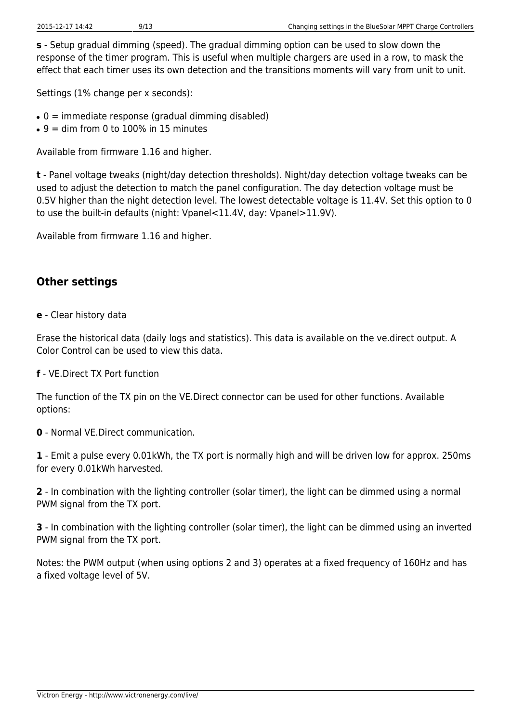**s** - Setup gradual dimming (speed). The gradual dimming option can be used to slow down the response of the timer program. This is useful when multiple chargers are used in a row, to mask the effect that each timer uses its own detection and the transitions moments will vary from unit to unit.

Settings (1% change per x seconds):

- $\bullet$  0 = immediate response (gradual dimming disabled)
- $\bullet$  9 = dim from 0 to 100% in 15 minutes

Available from firmware 1.16 and higher.

**t** - Panel voltage tweaks (night/day detection thresholds). Night/day detection voltage tweaks can be used to adjust the detection to match the panel configuration. The day detection voltage must be 0.5V higher than the night detection level. The lowest detectable voltage is 11.4V. Set this option to 0 to use the built-in defaults (night: Vpanel<11.4V, day: Vpanel>11.9V).

Available from firmware 1.16 and higher.

### **Other settings**

**e** - Clear history data

Erase the historical data (daily logs and statistics). This data is available on the ve.direct output. A Color Control can be used to view this data.

**f** - VE.Direct TX Port function

The function of the TX pin on the VE.Direct connector can be used for other functions. Available options:

**0** - Normal VE.Direct communication.

**1** - Emit a pulse every 0.01kWh, the TX port is normally high and will be driven low for approx. 250ms for every 0.01kWh harvested.

**2** - In combination with the lighting controller (solar timer), the light can be dimmed using a normal PWM signal from the TX port.

**3** - In combination with the lighting controller (solar timer), the light can be dimmed using an inverted PWM signal from the TX port.

Notes: the PWM output (when using options 2 and 3) operates at a fixed frequency of 160Hz and has a fixed voltage level of 5V.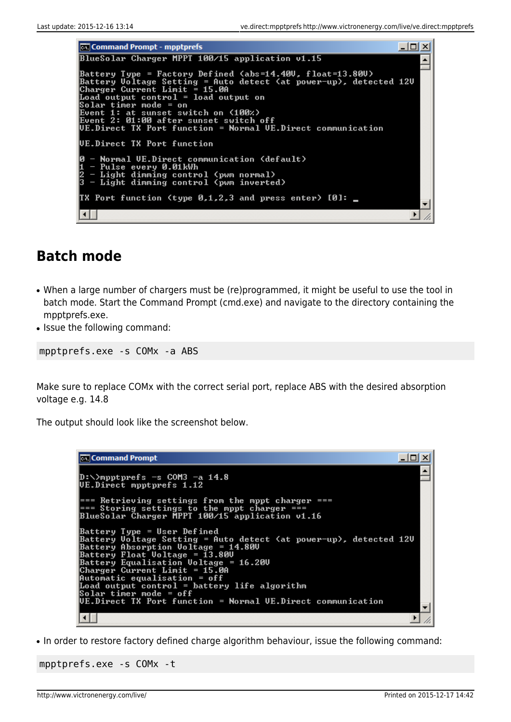**Command Prompt - mpptprefs**  $\Box$   $\Box$   $\times$ BlueSolar Charger MPPT 100/15 application v1.15 ▲ Battery Type = Factory Defined <abs=14.40U, float=13.80U)<br>Battery Uoltage Setting = Auto detect <at power-up>, detected 12U<br>Charger Current Limit = 15.0A Load output control = 15.00<br>Load output control = load output on<br>Solar timer mode = onital as 4100xx Boent 1: at sunset switch on (100%)<br>Event 1: at sunset switch on (100%)<br>UE.Direct TX Port function = Normal UE.Direct communication UE.Direct TX Port function - Normal UE.Direct communication (default)<br>- Pulse every 0.01kWh<br>- Light dimming control (pwm normal)<br>- Light dimming control (pwm inverted) lя TX Port function (type 0,1,2,3 and press enter)  $[0]:$  $\blacksquare$  $\blacktriangleright$ 11.

### **Batch mode**

- When a large number of chargers must be (re)programmed, it might be useful to use the tool in batch mode. Start the Command Prompt (cmd.exe) and navigate to the directory containing the mpptprefs.exe.
- Issue the following command:

mpptprefs.exe -s COMx -a ABS

Make sure to replace COMx with the correct serial port, replace ABS with the desired absorption voltage e.g. 14.8

The output should look like the screenshot below.

```
-|D| \timesCommand Prompt
                                                                                                                                                                       ▲
D:\>mpptprefs -s COM3 -a 14.8
UE.Direct mpptprefs 1.12
=== Retrieving settings from the mppt charger ===<br>=== Storing settings to the mppt charger ===<br>BlueSolar Charger MPPT 100/15 application v1.16
Battery Type = User Defined<br>Battery Voltage Setting = Auto detect (at power-up), detected 12U<br>Battery Absorption Voltage = 14.80U<br>Battery Float Voltage = 13.80U<br>Battery Equalisation Voltage = 16.20U<br>Charger Current Limit =
                                                                                                                                                                       ▼
 ⊣⊟
                                                                                                                                                                 \blacktriangleright/i
```
• In order to restore factory defined charge algorithm behaviour, issue the following command:

```
mpptprefs.exe -s COMx -t
```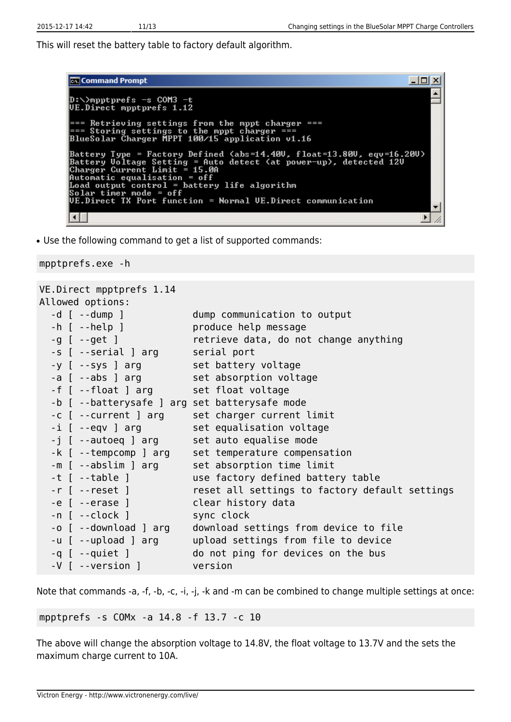This will reset the battery table to factory default algorithm.

| <b>Ex</b> Command Prompt                                                                                                                                                                                                                                                                                                                                 |  |
|----------------------------------------------------------------------------------------------------------------------------------------------------------------------------------------------------------------------------------------------------------------------------------------------------------------------------------------------------------|--|
| D:\>mpptprefs -s COM3 -t<br>UE.Direct mpptprefs 1.12                                                                                                                                                                                                                                                                                                     |  |
| === Retrieving settings from the mppt charger ===<br>=== Storing settings to the mppt charger ===<br>BlueSolar Charger MPPT 100/15 application v1.16                                                                                                                                                                                                     |  |
| Battery Type = Factory Defined (abs=14.40V, float=13.80V, eqv=16.20U)<br> Battery Voltage Setting = Auto detect (at power-up), detected 12V<br> Charger Current Limit = 15.0A<br> Automatic equalisation = off<br>Load output control = battery life algorithm<br> Solar timer mode = off<br>UE.Direct TX Port function = Normal UE.Direct communication |  |
|                                                                                                                                                                                                                                                                                                                                                          |  |
|                                                                                                                                                                                                                                                                                                                                                          |  |

• Use the following command to get a list of supported commands:

#### mpptprefs.exe -h

```
VE.Direct mpptprefs 1.14
Allowed options:
 -d [ --dump ] dump communication to output
 -h [ --help ] produce help message
 -g [ --get ] retrieve data, do not change anything
 -s [ --serial ] arg serial port
 -y [ --sys ] arg set battery voltage
 -a [ --abs ] arg set absorption voltage
 -f [ --float ] arg set float voltage
  -b [ --batterysafe ] arg set batterysafe mode
 -c [ --current ] arg set charger current limit
 -i [ --eqv ] arg set equalisation voltage
 -j [ --autoeq ] arg set auto equalise mode
 -k [ --tempcomp ] arg set temperature compensation
 -m [ --abslim ] arg set absorption time limit
  -t [ --table ] use factory defined battery table
  -r [ --reset ] reset all settings to factory default settings
  -e [ --erase ] clear history data
 -n [ --clock ] sync clock
  -o [ --download ] arg download settings from device to file
  -u [ --upload ] arg upload settings from file to device
  -q [ --quiet ] do not ping for devices on the bus
  -V [ --version ] version
```
Note that commands -a, -f, -b, -c, -i, -j, -k and -m can be combined to change multiple settings at once:

mpptprefs -s COMx -a 14.8 -f 13.7 -c 10

The above will change the absorption voltage to 14.8V, the float voltage to 13.7V and the sets the maximum charge current to 10A.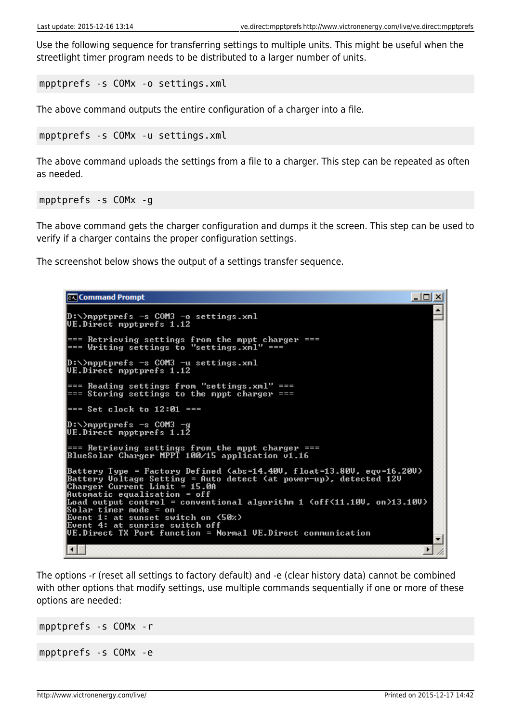Use the following sequence for transferring settings to multiple units. This might be useful when the streetlight timer program needs to be distributed to a larger number of units.

mpptprefs -s COMx -o settings.xml

The above command outputs the entire configuration of a charger into a file.

mpptprefs -s COMx -u settings.xml

The above command uploads the settings from a file to a charger. This step can be repeated as often as needed.

mpptprefs -s COMx -g

The above command gets the charger configuration and dumps it the screen. This step can be used to verify if a charger contains the proper configuration settings.

The screenshot below shows the output of a settings transfer sequence.

```
Command Prompt
                                                                                                                                      -|\Box\timesD:\>mpptprefs -s COM3 -o settings.xml
UE.Direct mpptprefs 1.12
=== Retrieving settings from the mppt charger ===<br>=== Writing settings to "settings.xml" ===
D:\>mpptprefs -s COM3 -u settings.xml
UE.Direct mpptprefs 1.12
=== Reading settings from "settings.xml" ===<br>=== Storing settings to the mppt charger ===
 == Set clock to 12:01 ===
D:\>mpptprefs -s COM3 -
D:\>mpptprefs -s COM3 -g<br>UE.Direct mpptprefs 1.12
=== Retrieving settings from the mppt charger ===<br>BlueSolar Charger MPPT 100/15 application v1.16
Battery Type = Factory Defined (abs=14.400, float=13.800, equ=16.200)<br>Battery Uoltage Setting = Auto detect (at power-up), detected 120<br>Charger Current Limit = 15.0A<br>Automatic equalisation = off
Hutomatic equalisation = orr<br>Load output control = conventional algorithm 1 <off<11.10U, on>13.10U><br>Solar timer mode = on<br>Event 1: at sunset switch on <50%><br>Event 1: at sunrise switch off<br>UE.Direct TX Port function = Norma
 \blacksquare\blacktriangleright
```
The options -r (reset all settings to factory default) and -e (clear history data) cannot be combined with other options that modify settings, use multiple commands sequentially if one or more of these options are needed:

```
mpptprefs -s COMx -r
mpptprefs -s COMx -e
```